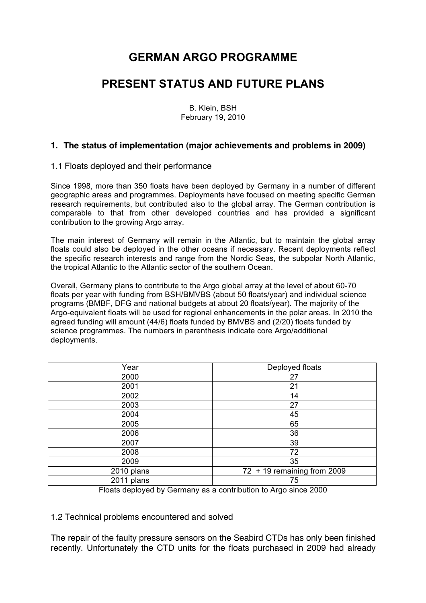# **GERMAN ARGO PROGRAMME**

# **PRESENT STATUS AND FUTURE PLANS**

B. Klein, BSH February 19, 2010

#### **1. The status of implementation (major achievements and problems in 2009)**

#### 1.1 Floats deployed and their performance

Since 1998, more than 350 floats have been deployed by Germany in a number of different geographic areas and programmes. Deployments have focused on meeting specific German research requirements, but contributed also to the global array. The German contribution is comparable to that from other developed countries and has provided a significant contribution to the growing Argo array.

The main interest of Germany will remain in the Atlantic, but to maintain the global array floats could also be deployed in the other oceans if necessary. Recent deployments reflect the specific research interests and range from the Nordic Seas, the subpolar North Atlantic, the tropical Atlantic to the Atlantic sector of the southern Ocean.

Overall, Germany plans to contribute to the Argo global array at the level of about 60-70 floats per year with funding from BSH/BMVBS (about 50 floats/year) and individual science programs (BMBF, DFG and national budgets at about 20 floats/year). The majority of the Argo-equivalent floats will be used for regional enhancements in the polar areas. In 2010 the agreed funding will amount (44/6) floats funded by BMVBS and (2/20) floats funded by science programmes. The numbers in parenthesis indicate core Argo/additional deployments.

| Year       | Deployed floats                          |
|------------|------------------------------------------|
| 2000       | 27                                       |
| 2001       | 21                                       |
| 2002       | 14                                       |
| 2003       | 27                                       |
| 2004       | 45                                       |
| 2005       | 65                                       |
| 2006       | 36                                       |
| 2007       | 39                                       |
| 2008       | 72                                       |
| 2009       | 35                                       |
| 2010 plans | $\overline{72}$ + 19 remaining from 2009 |
| 2011 plans | 75                                       |
| --         | $\frac{1}{2}$                            |

Floats deployed by Germany as a contribution to Argo since 2000

#### 1.2 Technical problems encountered and solved

The repair of the faulty pressure sensors on the Seabird CTDs has only been finished recently. Unfortunately the CTD units for the floats purchased in 2009 had already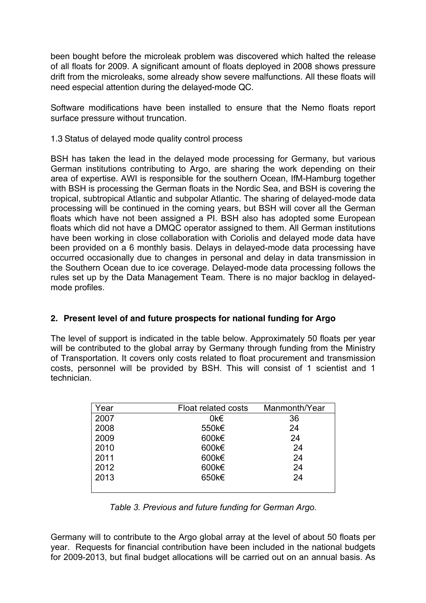been bought before the microleak problem was discovered which halted the release of all floats for 2009. A significant amount of floats deployed in 2008 shows pressure drift from the microleaks, some already show severe malfunctions. All these floats will need especial attention during the delayed-mode QC.

Software modifications have been installed to ensure that the Nemo floats report surface pressure without truncation.

### 1.3 Status of delayed mode quality control process

BSH has taken the lead in the delayed mode processing for Germany, but various German institutions contributing to Argo, are sharing the work depending on their area of expertise. AWI is responsible for the southern Ocean, IfM-Hamburg together with BSH is processing the German floats in the Nordic Sea, and BSH is covering the tropical, subtropical Atlantic and subpolar Atlantic. The sharing of delayed-mode data processing will be continued in the coming years, but BSH will cover all the German floats which have not been assigned a PI. BSH also has adopted some European floats which did not have a DMQC operator assigned to them. All German institutions have been working in close collaboration with Coriolis and delayed mode data have been provided on a 6 monthly basis. Delays in delayed-mode data processing have occurred occasionally due to changes in personal and delay in data transmission in the Southern Ocean due to ice coverage. Delayed-mode data processing follows the rules set up by the Data Management Team. There is no major backlog in delayedmode profiles.

## **2. Present level of and future prospects for national funding for Argo**

The level of support is indicated in the table below. Approximately 50 floats per year will be contributed to the global array by Germany through funding from the Ministry of Transportation. It covers only costs related to float procurement and transmission costs, personnel will be provided by BSH. This will consist of 1 scientist and 1 technician.

| Year | Float related costs | Manmonth/Year |
|------|---------------------|---------------|
| 2007 | 0k€                 | 36            |
| 2008 | 550k€               | 24            |
| 2009 | 600k€               | 24            |
| 2010 | 600k€               | 24            |
| 2011 | 600k€               | 24            |
| 2012 | 600k€               | 24            |
| 2013 | 650k€               | 24            |
|      |                     |               |

*Table 3. Previous and future funding for German Argo.*

Germany will to contribute to the Argo global array at the level of about 50 floats per year. Requests for financial contribution have been included in the national budgets for 2009-2013, but final budget allocations will be carried out on an annual basis. As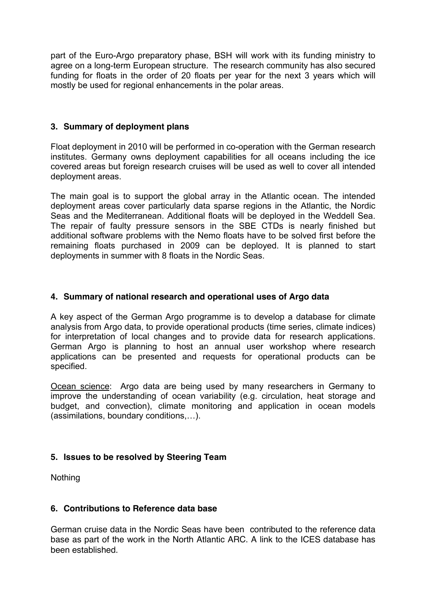part of the Euro-Argo preparatory phase, BSH will work with its funding ministry to agree on a long-term European structure. The research community has also secured funding for floats in the order of 20 floats per year for the next 3 years which will mostly be used for regional enhancements in the polar areas.

#### **3. Summary of deployment plans**

Float deployment in 2010 will be performed in co-operation with the German research institutes. Germany owns deployment capabilities for all oceans including the ice covered areas but foreign research cruises will be used as well to cover all intended deployment areas.

The main goal is to support the global array in the Atlantic ocean. The intended deployment areas cover particularly data sparse regions in the Atlantic, the Nordic Seas and the Mediterranean. Additional floats will be deployed in the Weddell Sea. The repair of faulty pressure sensors in the SBE CTDs is nearly finished but additional software problems with the Nemo floats have to be solved first before the remaining floats purchased in 2009 can be deployed. It is planned to start deployments in summer with 8 floats in the Nordic Seas.

### **4. Summary of national research and operational uses of Argo data**

A key aspect of the German Argo programme is to develop a database for climate analysis from Argo data, to provide operational products (time series, climate indices) for interpretation of local changes and to provide data for research applications. German Argo is planning to host an annual user workshop where research applications can be presented and requests for operational products can be specified.

Ocean science: Argo data are being used by many researchers in Germany to improve the understanding of ocean variability (e.g. circulation, heat storage and budget, and convection), climate monitoring and application in ocean models (assimilations, boundary conditions,…).

## **5. Issues to be resolved by Steering Team**

**Nothing** 

#### **6. Contributions to Reference data base**

German cruise data in the Nordic Seas have been contributed to the reference data base as part of the work in the North Atlantic ARC. A link to the ICES database has been established.